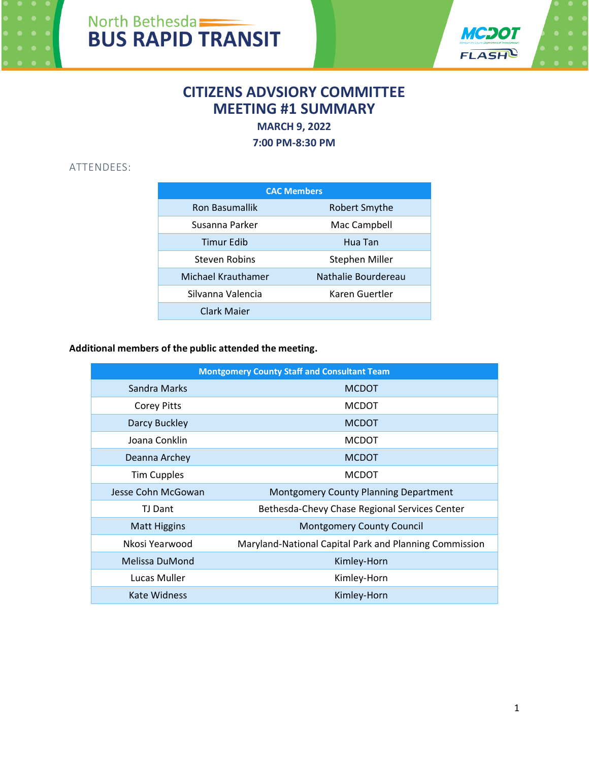



# **CITIZENS ADVSIORY COMMITTEE MEETING #1 SUMMARY**

**MARCH 9, 2022** 

**7:00 PM-8:30 PM**

## ATTENDEES:

| <b>CAC Members</b>    |                     |
|-----------------------|---------------------|
| <b>Ron Basumallik</b> | Robert Smythe       |
| Susanna Parker        | Mac Campbell        |
| <b>Timur Edib</b>     | Hua Tan             |
| Steven Robins         | Stephen Miller      |
| Michael Krauthamer    | Nathalie Bourdereau |
| Silvanna Valencia     | Karen Guertler      |
| Clark Maier           |                     |

## **Additional members of the public attended the meeting.**

| <b>Montgomery County Staff and Consultant Team</b> |                                                        |
|----------------------------------------------------|--------------------------------------------------------|
| Sandra Marks                                       | <b>MCDOT</b>                                           |
| <b>Corey Pitts</b>                                 | <b>MCDOT</b>                                           |
| Darcy Buckley                                      | <b>MCDOT</b>                                           |
| Joana Conklin                                      | <b>MCDOT</b>                                           |
| Deanna Archey                                      | <b>MCDOT</b>                                           |
| <b>Tim Cupples</b>                                 | <b>MCDOT</b>                                           |
| Jesse Cohn McGowan                                 | Montgomery County Planning Department                  |
| TJ Dant                                            | Bethesda-Chevy Chase Regional Services Center          |
| <b>Matt Higgins</b>                                | <b>Montgomery County Council</b>                       |
| Nkosi Yearwood                                     | Maryland-National Capital Park and Planning Commission |
| Melissa DuMond                                     | Kimley-Horn                                            |
| Lucas Muller                                       | Kimley-Horn                                            |
| <b>Kate Widness</b>                                | Kimley-Horn                                            |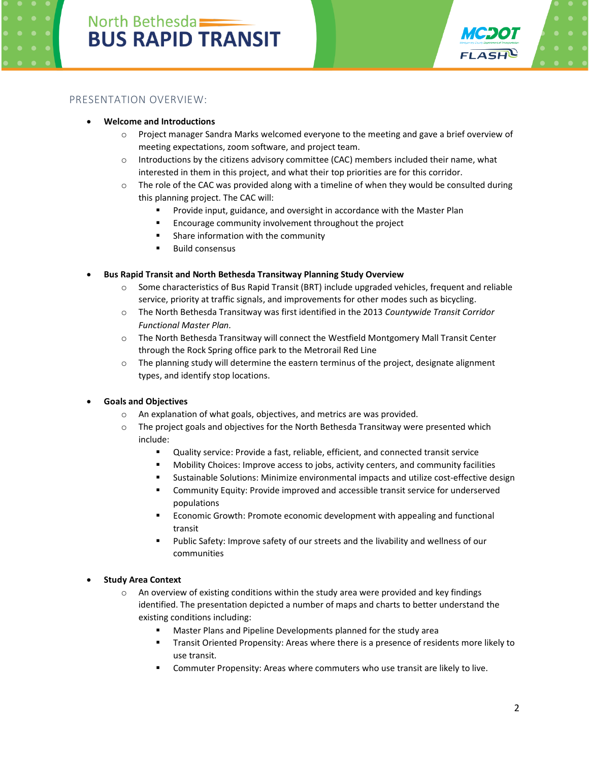

### PRESENTATION OVERVIEW:

#### • **Welcome and Introductions**

- $\circ$  Project manager Sandra Marks welcomed everyone to the meeting and gave a brief overview of meeting expectations, zoom software, and project team.
- $\circ$  Introductions by the citizens advisory committee (CAC) members included their name, what interested in them in this project, and what their top priorities are for this corridor.
- $\circ$  The role of the CAC was provided along with a timeline of when they would be consulted during this planning project. The CAC will:
	- Provide input, guidance, and oversight in accordance with the Master Plan
	- Encourage community involvement throughout the project
	- Share information with the community
	- Build consensus

#### • **Bus Rapid Transit and North Bethesda Transitway Planning Study Overview**

- $\circ$  Some characteristics of Bus Rapid Transit (BRT) include upgraded vehicles, frequent and reliable service, priority at traffic signals, and improvements for other modes such as bicycling.
- o The North Bethesda Transitway was first identified in the 2013 *Countywide Transit Corridor Functional Master Plan.*
- o The North Bethesda Transitway will connect the Westfield Montgomery Mall Transit Center through the Rock Spring office park to the Metrorail Red Line
- $\circ$  The planning study will determine the eastern terminus of the project, designate alignment types, and identify stop locations.

#### • **Goals and Objectives**

- o An explanation of what goals, objectives, and metrics are was provided.
- o The project goals and objectives for the North Bethesda Transitway were presented which include:
	- Quality service: Provide a fast, reliable, efficient, and connected transit service
	- Mobility Choices: Improve access to jobs, activity centers, and community facilities
	- Sustainable Solutions: Minimize environmental impacts and utilize cost-effective design
	- Community Equity: Provide improved and accessible transit service for underserved populations
	- Economic Growth: Promote economic development with appealing and functional transit
	- Public Safety: Improve safety of our streets and the livability and wellness of our communities

#### • **Study Area Context**

- $\circ$  An overview of existing conditions within the study area were provided and key findings identified. The presentation depicted a number of maps and charts to better understand the existing conditions including:
	- Master Plans and Pipeline Developments planned for the study area
	- Transit Oriented Propensity: Areas where there is a presence of residents more likely to use transit.
	- Commuter Propensity: Areas where commuters who use transit are likely to live.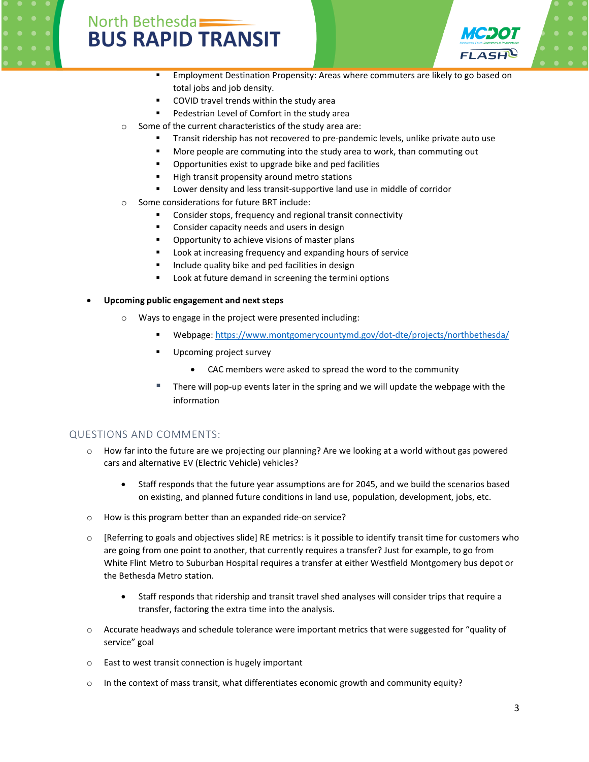



- **Employment Destination Propensity: Areas where commuters are likely to go based on** total jobs and job density.
- COVID travel trends within the study area
- Pedestrian Level of Comfort in the study area
- o Some of the current characteristics of the study area are:
	- **•** Transit ridership has not recovered to pre-pandemic levels, unlike private auto use
	- More people are commuting into the study area to work, than commuting out
	- Opportunities exist to upgrade bike and ped facilities
	- High transit propensity around metro stations
	- Lower density and less transit-supportive land use in middle of corridor
- o Some considerations for future BRT include:
	- Consider stops, frequency and regional transit connectivity
	- Consider capacity needs and users in design
	- Opportunity to achieve visions of master plans
	- Look at increasing frequency and expanding hours of service
	- Include quality bike and ped facilities in design
	- Look at future demand in screening the termini options
- **Upcoming public engagement and next steps**
	- o Ways to engage in the project were presented including:
		- Webpage:<https://www.montgomerycountymd.gov/dot-dte/projects/northbethesda/>
		- Upcoming project survey
			- CAC members were asked to spread the word to the community
		- There will pop-up events later in the spring and we will update the webpage with the information

## QUESTIONS AND COMMENTS:

- $\circ$  How far into the future are we projecting our planning? Are we looking at a world without gas powered cars and alternative EV (Electric Vehicle) vehicles?
	- Staff responds that the future year assumptions are for 2045, and we build the scenarios based on existing, and planned future conditions in land use, population, development, jobs, etc.
- o How is this program better than an expanded ride-on service?
- $\circ$  [Referring to goals and objectives slide] RE metrics: is it possible to identify transit time for customers who are going from one point to another, that currently requires a transfer? Just for example, to go from White Flint Metro to Suburban Hospital requires a transfer at either Westfield Montgomery bus depot or the Bethesda Metro station.
	- Staff responds that ridership and transit travel shed analyses will consider trips that require a transfer, factoring the extra time into the analysis.
- o Accurate headways and schedule tolerance were important metrics that were suggested for "quality of service" goal
- o East to west transit connection is hugely important
- $\circ$  In the context of mass transit, what differentiates economic growth and community equity?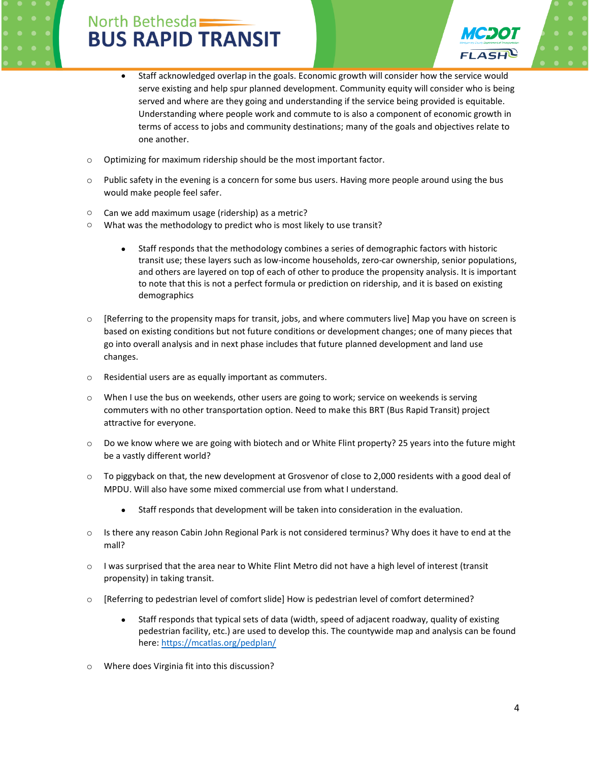

- Staff acknowledged overlap in the goals. Economic growth will consider how the service would serve existing and help spur planned development. Community equity will consider who is being served and where are they going and understanding if the service being provided is equitable. Understanding where people work and commute to is also a component of economic growth in terms of access to jobs and community destinations; many of the goals and objectives relate to one another.
- o Optimizing for maximum ridership should be the most important factor.
- $\circ$  Public safety in the evening is a concern for some bus users. Having more people around using the bus would make people feel safer.
- o Can we add maximum usage (ridership) as a metric?
- o What was the methodology to predict who is most likely to use transit?
	- Staff responds that the methodology combines a series of demographic factors with historic transit use; these layers such as low-income households, zero-car ownership, senior populations, and others are layered on top of each of other to produce the propensity analysis. It is important to note that this is not a perfect formula or prediction on ridership, and it is based on existing demographics
- $\circ$  [Referring to the propensity maps for transit, jobs, and where commuters live] Map you have on screen is based on existing conditions but not future conditions or development changes; one of many pieces that go into overall analysis and in next phase includes that future planned development and land use changes.
- o Residential users are as equally important as commuters.
- o When I use the bus on weekends, other users are going to work; service on weekends is serving commuters with no other transportation option. Need to make this BRT (Bus Rapid Transit) project attractive for everyone.
- o Do we know where we are going with biotech and or White Flint property? 25 years into the future might be a vastly different world?
- o To piggyback on that, the new development at Grosvenor of close to 2,000 residents with a good deal of MPDU. Will also have some mixed commercial use from what I understand.
	- Staff responds that development will be taken into consideration in the evaluation.
- o Is there any reason Cabin John Regional Park is not considered terminus? Why does it have to end at the mall?
- o I was surprised that the area near to White Flint Metro did not have a high level of interest (transit propensity) in taking transit.
- o [Referring to pedestrian level of comfort slide] How is pedestrian level of comfort determined?
	- Staff responds that typical sets of data (width, speed of adjacent roadway, quality of existing pedestrian facility, etc.) are used to develop this. The countywide map and analysis can be found here[: https://mcatlas.org/pedplan/](https://mcatlas.org/pedplan/)
- o Where does Virginia fit into this discussion?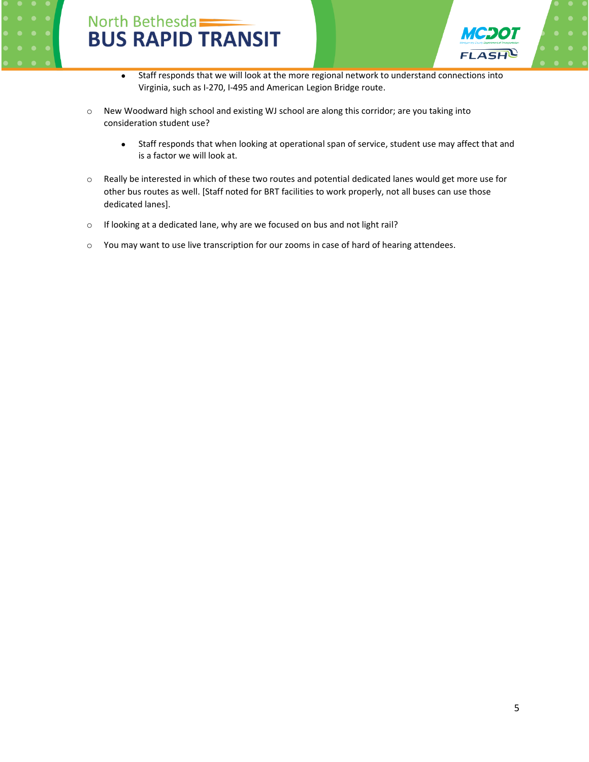



- Staff responds that we will look at the more regional network to understand connections into Virginia, such as I-270, I-495 and American Legion Bridge route.
- o New Woodward high school and existing WJ school are along this corridor; are you taking into consideration student use?
	- Staff responds that when looking at operational span of service, student use may affect that and is a factor we will look at.
- $\circ$  Really be interested in which of these two routes and potential dedicated lanes would get more use for other bus routes as well. [Staff noted for BRT facilities to work properly, not all buses can use those dedicated lanes].
- o If looking at a dedicated lane, why are we focused on bus and not light rail?
- o You may want to use live transcription for our zooms in case of hard of hearing attendees.